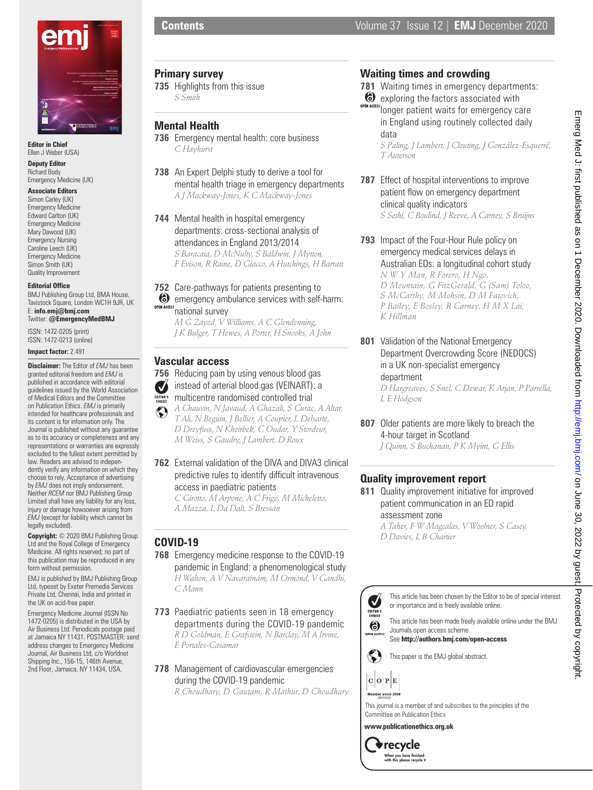

**Editor in Chief** Ellen J Weber (USA)

**Deputy Editor** Richard Body Emergency Medicine (UK)

### **Associate Editors**

Simon Carley (UK) Emergency Medicine Edward Carlton (UK) Emergency Medicine Mary Dawood (UK) Emergency Nursing Caroline Leech (UK) Emergency Medicine Simon Smith (UK) Quality Improvement

#### **Editorial Office**

BMJ Publishing Group Ltd, BMA House, Tavistock Square, London WC1H 9JR, UK E: **info.emj@bmj.com** Twitter: **@EmergencyMedBMJ**

ISSN: 1472-0205 (print) ISSN: 1472-0213 (online)

**Impact factor:** 2.491

```
Disclaimer: The Editor of EMJ has been 
granted editorial freedom and EMJ is 
published in accordance with editorial 
guidelines issued by the World Association 
of Medical Editors and the Committee 
on Publication Ethics. EMJ is primarily 
intended for healthcare professionals and 
its content is for information only. The 
Journal is published without any guarantee 
as to its accuracy or completeness and any 
representations or warranties are expressly 
excluded to the fullest extent permitted by 
law. Readers are advised to indepen-
dently verify any information on which they 
choose to rely. Acceptance of advertising 
by EMJ does not imply endorsement. 
Neither RCEM nor BMJ Publishing Group 
Limited shall have any liability for any loss, 
injury or damage howsoever arising from
EMJ (except for liability which cannot be 
legally excluded).
```
**Copyright:** © 2020 BMJ Publishing Group Ltd and the Royal College of Emergency Medicine. All rights reserved; no part of this publication may be reproduced in any form without permission.

EMJ is published by BMJ Publishing Group Ltd, typeset by Exeter Premedia Services Private Ltd, Chennai, India and printed in the UK on acid-free paper.

Emergency Medicine Journal (ISSN No 1472-0205) is distributed in the USA by Air Business Ltd. Periodicals postage paid at Jamaica NY 11431. POSTMASTER: send address changes to Emergency Medicine Journal, Air Business Ltd, c/o Worldnet Shipping Inc., 156-15, 146th Avenue, 2nd Floor, Jamaica, NY 11434, USA.

# **Contents Contents Volume 37** Issue 12 | **EMJ** December 2020

#### **Primary survey**

**735** Highlights from this issue *S Smith*

### **Mental Health**

- **736** Emergency mental health: core business *C Hayhurst*
- **738** An Expert Delphi study to derive a tool for mental health triage in emergency departments *A J Mackway-Jones, K C Mackway-Jones*
- **744** Mental health in hospital emergency departments: cross-sectional analysis of attendances in England 2013/2014 *S Baracaia, D McNulty, S Baldwin, J Mytton, F Evison, R Raine, D Giacco, A Hutchings, H Barratt*

### **752** Care-pathways for patients presenting to  $\bullet$  emergency ambulance services with self-harm: **OPEN ACCESS** national survey

*M G Zayed, V Williams, A C Glendenning, J K Bulger, T Hewes, A Porter, H Snooks, A John*

### **Vascular access**

- **756** Reducing pain by using venous blood gas instead of arterial blood gas (VEINART): a  $\boldsymbol{U}$ multicentre randomised controlled trial
- *A Chauvin, N Javaud, A Ghazali, S Curac, A Altar,*   $\mathbb{C}$ *T Ali, N Beguin, J Bellier, A Coupier, L Delsarte, D Dreyfuss, N Kheirbek, C Oudar, Y Stordeur, M Weiss, S Gaudry, J Lambert, D Roux*
- **762** External validation of the DIVA and DIVA3 clinical predictive rules to identify difficult intravenous access in paediatric patients

*C Girotto, M Arpone, A C Frigo, M Micheletto, A Mazza, L Da Dalt, S Bressan*

# **COVID-19**

- **768** Emergency medicine response to the COVID-19 pandemic in England: a phenomenological study *H Walton, A V Navaratnam, M Ormond, V Gandhi, C Mann*
- **773** Paediatric patients seen in 18 emergency departments during the COVID-19 pandemic *R D Goldman, E Grafstein, N Barclay, M A Irvine, E Portales-Casamar*
- **778** Management of cardiovascular emergencies during the COVID-19 pandemic

*R Choudhary, D Gautam, R Mathur, D Choudhary*

# **Waiting times and crowding**

- **781** Waiting times in emergency departments:
- **exploring the factors associated with** OPEN ACCESS CAPTIONING THE RECORDING TO A LITERATURE CONDITION TO PER INC. in England using routinely collected daily data

*S Paling, J Lambert, J Clouting, J González-Esquerré, T Auterson*

- **787** Effect of hospital interventions to improve patient flow on emergency department clinical quality indicators *S Sethi, C Boulind, J Reeve, A Carney, S Bruijns*
- **793** Impact of the Four-Hour Rule policy on emergency medical services delays in Australian EDs: a longitudinal cohort study *N W Y Man, R Forero, H Ngo, D Mountain, G FitzGerald, G (Sam) Toloo, S McCarthy, M Mohsin, D M Fatovich, P Bailey, E Bosley, R Carney, H M X Lai, K Hillman*
- **801** Validation of the National Emergency Department Overcrowding Score (NEDOCS) in a UK non-specialist emergency department *D Hargreaves, S Snel, C Dewar, K Arjan, P Parrella, L E Hodgson*
- **807** Older patients are more likely to breach the 4-hour target in Scotland *J Quinn, S Buchanan, P K Myint, G Ellis*

# **Quality improvement report**

**811** Quality improvement initiative for improved patient communication in an ED rapid assessment zone

*A Taher, F W Magcalas, V Woolner, S Casey, D Davies, L B Chartier*



This article has been made freely available online under the BMJ Journals open access scheme.

See **http://authors.bmj.com/open-access**

 $\mathbf C$ This paper is the EMJ global abstract.

 $C$   $O$   $P$   $E$ 

6





**www.publicationethics.org.uk**